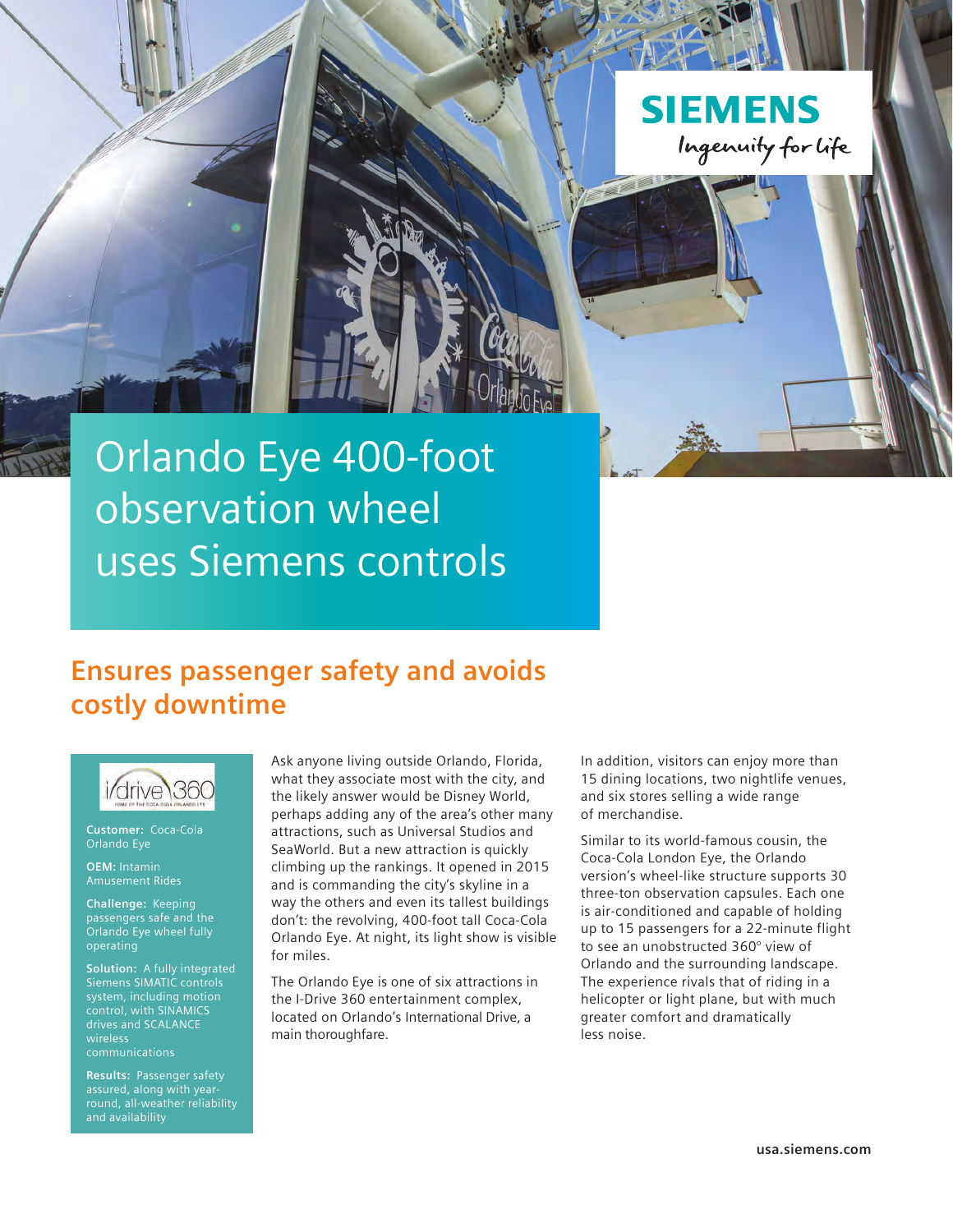

# Orlando Eye 400-foot observation wheel uses Siemens controls

## **Ensures passenger safety and avoids costly downtime**



**Customer:** Coca-Cola Orlando Eye

**OEM:** Intamin Amusement Rides

**Challenge:** Keeping passengers safe and the Orlando Eye wheel fully operating

**Solution:** A fully integrated Siemens SIMATIC controls system, including motion control, with SINAMICS drives and SCALANCE wireless

**Results:** Passenger safety assured, along with yearand availability

Ask anyone living outside Orlando, Florida, what they associate most with the city, and the likely answer would be Disney World, perhaps adding any of the area's other many attractions, such as Universal Studios and SeaWorld. But a new attraction is quickly climbing up the rankings. It opened in 2015 and is commanding the city's skyline in a way the others and even its tallest buildings don't: the revolving, 400-foot tall Coca-Cola Orlando Eye. At night, its light show is visible for miles.

The Orlando Eye is one of six attractions in the I-Drive 360 entertainment complex, located on Orlando's International Drive, a main thoroughfare.

In addition, visitors can enjoy more than 15 dining locations, two nightlife venues, and six stores selling a wide range of merchandise.

Similar to its world-famous cousin, the Coca-Cola London Eye, the Orlando version's wheel-like structure supports 30 three-ton observation capsules. Each one is air-conditioned and capable of holding up to 15 passengers for a 22-minute flight to see an unobstructed 360° view of Orlando and the surrounding landscape. The experience rivals that of riding in a helicopter or light plane, but with much greater comfort and dramatically less noise.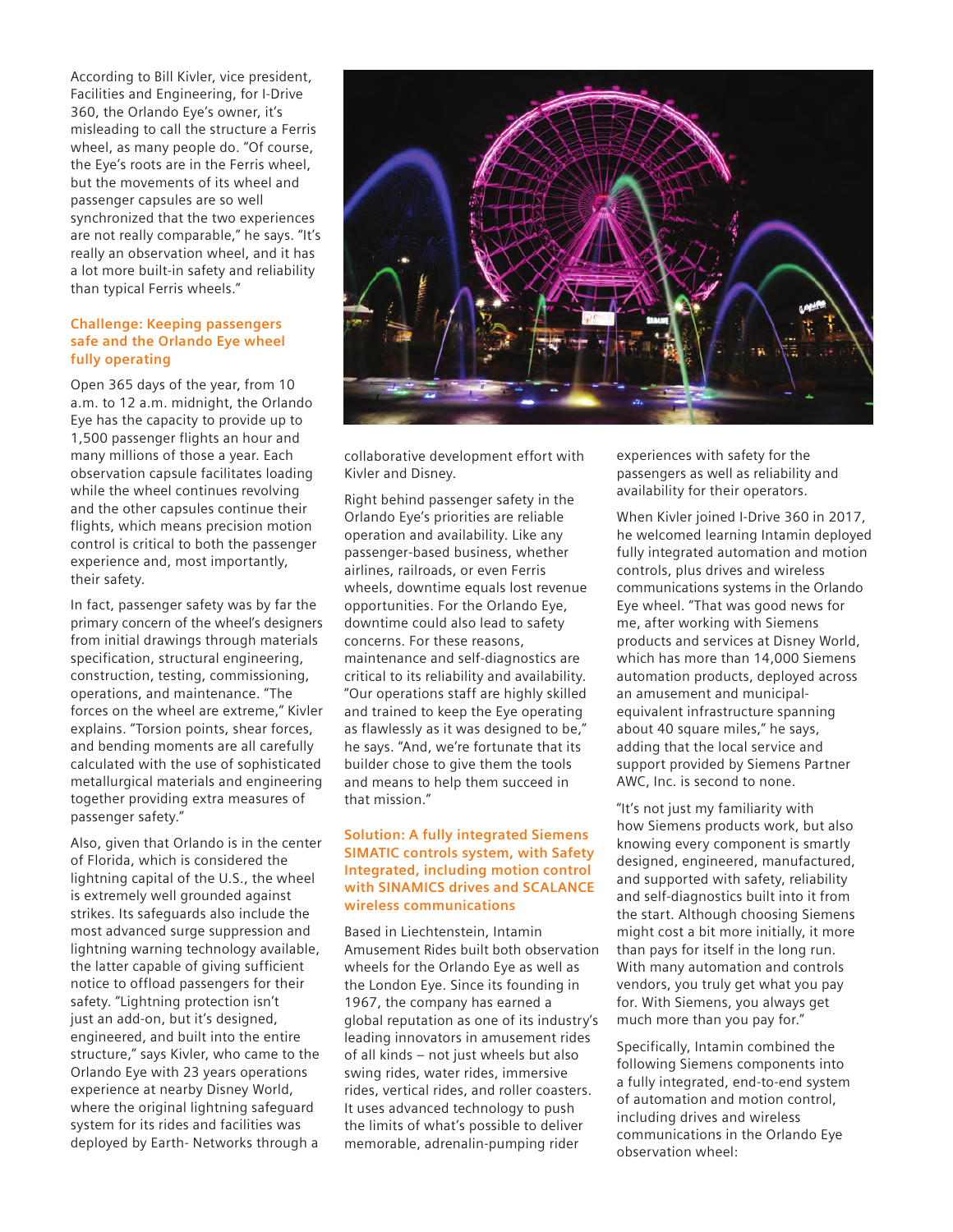According to Bill Kivler, vice president, Facilities and Engineering, for I-Drive 360, the Orlando Eye's owner, it's misleading to call the structure a Ferris wheel, as many people do. "Of course, the Eye's roots are in the Ferris wheel, but the movements of its wheel and passenger capsules are so well synchronized that the two experiences are not really comparable," he says. "It's really an observation wheel, and it has a lot more built-in safety and reliability than typical Ferris wheels."

#### **Challenge: Keeping passengers safe and the Orlando Eye wheel fully operating**

Open 365 days of the year, from 10 a.m. to 12 a.m. midnight, the Orlando Eye has the capacity to provide up to 1,500 passenger flights an hour and many millions of those a year. Each observation capsule facilitates loading while the wheel continues revolving and the other capsules continue their flights, which means precision motion control is critical to both the passenger experience and, most importantly, their safety.

In fact, passenger safety was by far the primary concern of the wheel's designers from initial drawings through materials specification, structural engineering, construction, testing, commissioning, operations, and maintenance. "The forces on the wheel are extreme," Kivler explains. "Torsion points, shear forces, and bending moments are all carefully calculated with the use of sophisticated metallurgical materials and engineering together providing extra measures of passenger safety."

Also, given that Orlando is in the center of Florida, which is considered the lightning capital of the U.S., the wheel is extremely well grounded against strikes. Its safeguards also include the most advanced surge suppression and lightning warning technology available, the latter capable of giving sufficient notice to offload passengers for their safety. "Lightning protection isn't just an add-on, but it's designed, engineered, and built into the entire structure," says Kivler, who came to the Orlando Eye with 23 years operations experience at nearby Disney World, where the original lightning safeguard system for its rides and facilities was deployed by Earth- Networks through a



collaborative development effort with Kivler and Disney.

Right behind passenger safety in the Orlando Eye's priorities are reliable operation and availability. Like any passenger-based business, whether airlines, railroads, or even Ferris wheels, downtime equals lost revenue opportunities. For the Orlando Eye, downtime could also lead to safety concerns. For these reasons, maintenance and self-diagnostics are critical to its reliability and availability. "Our operations staff are highly skilled and trained to keep the Eye operating as flawlessly as it was designed to be," he says. "And, we're fortunate that its builder chose to give them the tools and means to help them succeed in that mission."

### **Solution: A fully integrated Siemens SIMATIC controls system, with Safety Integrated, including motion control with SINAMICS drives and SCALANCE wireless communications**

Based in Liechtenstein, Intamin Amusement Rides built both observation wheels for the Orlando Eye as well as the London Eye. Since its founding in 1967, the company has earned a global reputation as one of its industry's leading innovators in amusement rides of all kinds – not just wheels but also swing rides, water rides, immersive rides, vertical rides, and roller coasters. It uses advanced technology to push the limits of what's possible to deliver memorable, adrenalin-pumping rider

experiences with safety for the passengers as well as reliability and availability for their operators.

When Kivler joined I-Drive 360 in 2017, he welcomed learning Intamin deployed fully integrated automation and motion controls, plus drives and wireless communications systems in the Orlando Eye wheel. "That was good news for me, after working with Siemens products and services at Disney World, which has more than 14,000 Siemens automation products, deployed across an amusement and municipalequivalent infrastructure spanning about 40 square miles," he says, adding that the local service and support provided by Siemens Partner AWC, Inc. is second to none.

"It's not just my familiarity with how Siemens products work, but also knowing every component is smartly designed, engineered, manufactured, and supported with safety, reliability and self-diagnostics built into it from the start. Although choosing Siemens might cost a bit more initially, it more than pays for itself in the long run. With many automation and controls vendors, you truly get what you pay for. With Siemens, you always get much more than you pay for."

Specifically, Intamin combined the following Siemens components into a fully integrated, end-to-end system of automation and motion control, including drives and wireless communications in the Orlando Eye observation wheel: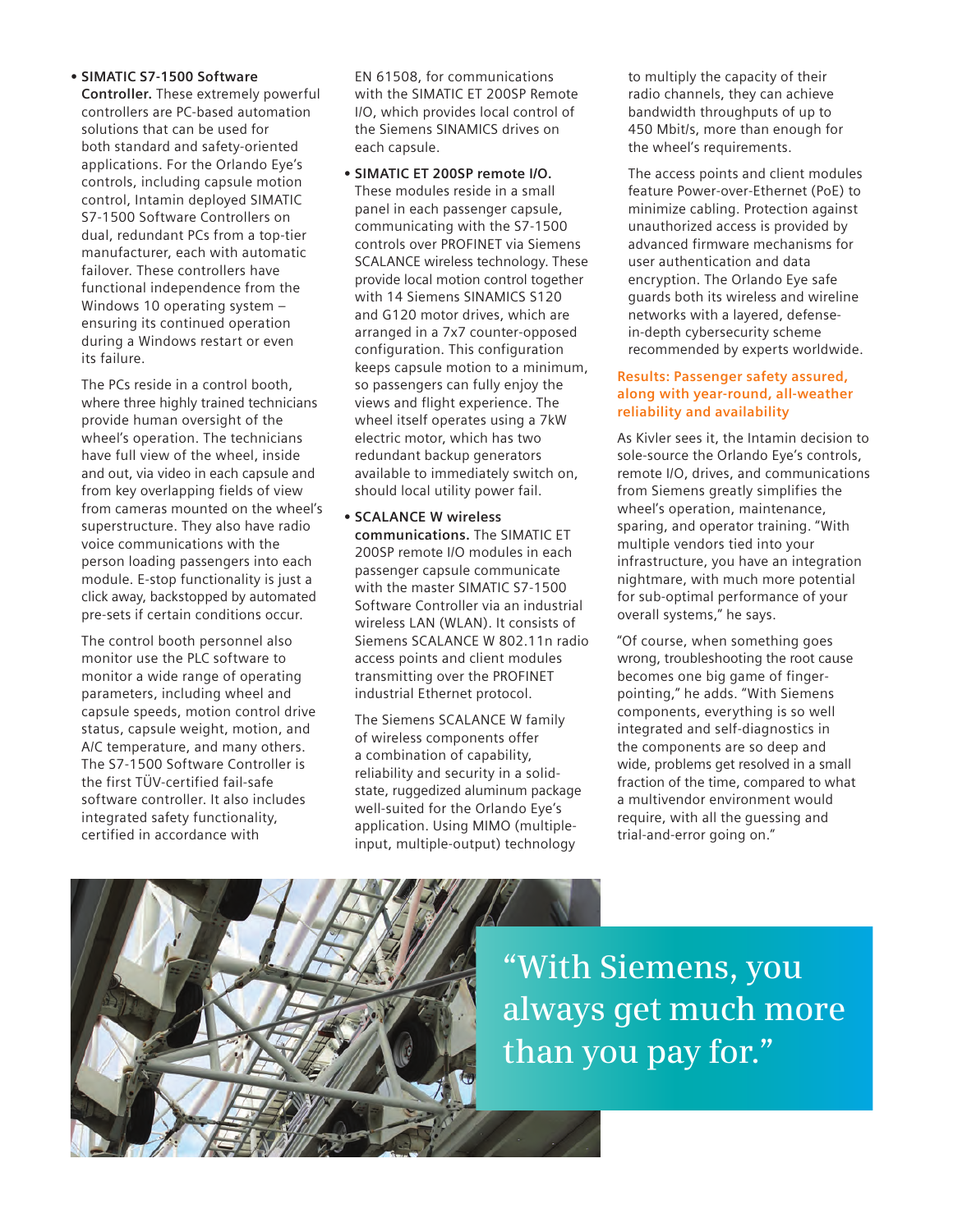#### **• SIMATIC S7-1500 Software**

**Controller.** These extremely powerful controllers are PC-based automation solutions that can be used for both standard and safety-oriented applications. For the Orlando Eye's controls, including capsule motion control, Intamin deployed SIMATIC S7-1500 Software Controllers on dual, redundant PCs from a top-tier manufacturer, each with automatic failover. These controllers have functional independence from the Windows 10 operating system – ensuring its continued operation during a Windows restart or even its failure.

The PCs reside in a control booth, where three highly trained technicians provide human oversight of the wheel's operation. The technicians have full view of the wheel, inside and out, via video in each capsule and from key overlapping fields of view from cameras mounted on the wheel's superstructure. They also have radio voice communications with the person loading passengers into each module. E-stop functionality is just a click away, backstopped by automated pre-sets if certain conditions occur.

The control booth personnel also monitor use the PLC software to monitor a wide range of operating parameters, including wheel and capsule speeds, motion control drive status, capsule weight, motion, and A/C temperature, and many others. The S7-1500 Software Controller is the first TÜV-certified fail-safe software controller. It also includes integrated safety functionality, certified in accordance with

EN 61508, for communications with the SIMATIC ET 200SP Remote I/O, which provides local control of the Siemens SINAMICS drives on each capsule.

**• SIMATIC ET 200SP remote I/O.**  These modules reside in a small panel in each passenger capsule, communicating with the S7-1500 controls over PROFINET via Siemens SCALANCE wireless technology. These provide local motion control together with 14 Siemens SINAMICS S120 and G120 motor drives, which are arranged in a 7x7 counter-opposed configuration. This configuration keeps capsule motion to a minimum, so passengers can fully enjoy the views and flight experience. The wheel itself operates using a 7kW electric motor, which has two redundant backup generators available to immediately switch on, should local utility power fail.

#### **• SCALANCE W wireless**

**communications.** The SIMATIC ET 200SP remote I/O modules in each passenger capsule communicate with the master SIMATIC S7-1500 Software Controller via an industrial wireless LAN (WLAN). It consists of Siemens SCALANCE W 802.11n radio access points and client modules transmitting over the PROFINET industrial Ethernet protocol.

The Siemens SCALANCE W family of wireless components offer a combination of capability, reliability and security in a solidstate, ruggedized aluminum package well-suited for the Orlando Eye's application. Using MIMO (multipleinput, multiple-output) technology

to multiply the capacity of their radio channels, they can achieve bandwidth throughputs of up to 450 Mbit/s, more than enough for the wheel's requirements.

The access points and client modules feature Power-over-Ethernet (PoE) to minimize cabling. Protection against unauthorized access is provided by advanced firmware mechanisms for user authentication and data encryption. The Orlando Eye safe guards both its wireless and wireline networks with a layered, defensein-depth cybersecurity scheme recommended by experts worldwide.

### **Results: Passenger safety assured, along with year-round, all-weather reliability and availability**

As Kivler sees it, the Intamin decision to sole-source the Orlando Eye's controls, remote I/O, drives, and communications from Siemens greatly simplifies the wheel's operation, maintenance, sparing, and operator training. "With multiple vendors tied into your infrastructure, you have an integration nightmare, with much more potential for sub-optimal performance of your overall systems," he says.

"Of course, when something goes wrong, troubleshooting the root cause becomes one big game of fingerpointing," he adds. "With Siemens components, everything is so well integrated and self-diagnostics in the components are so deep and wide, problems get resolved in a small fraction of the time, compared to what a multivendor environment would require, with all the guessing and trial-and-error going on."



**"With Siemens, you always get much more than you pay for."**